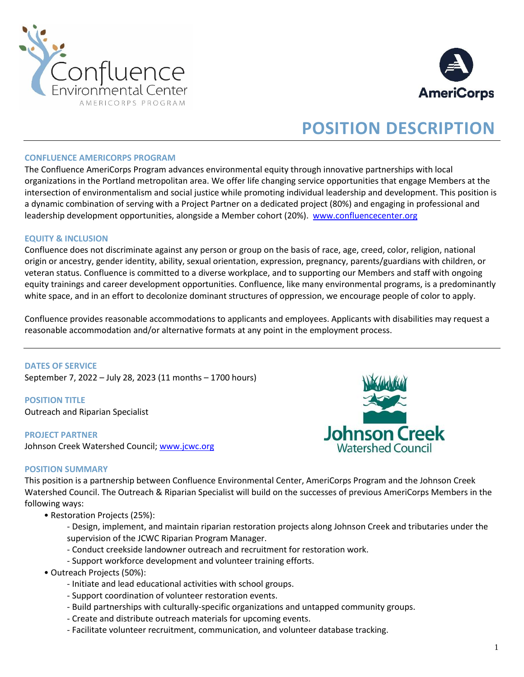



# **POSITION DESCRIPTION**

#### **CONFLUENCE AMERICORPS PROGRAM**

The Confluence AmeriCorps Program advances environmental equity through innovative partnerships with local organizations in the Portland metropolitan area. We offer life changing service opportunities that engage Members at the intersection of environmentalism and social justice while promoting individual leadership and development. This position is a dynamic combination of serving with a Project Partner on a dedicated project (80%) and engaging in professional and leadership development opportunities, alongside a Member cohort (20%). [www.confluencecenter.org](http://www.confluencecenter.org/)

#### **EQUITY & INCLUSION**

Confluence does not discriminate against any person or group on the basis of race, age, creed, color, religion, national origin or ancestry, gender identity, ability, sexual orientation, expression, pregnancy, parents/guardians with children, or veteran status. Confluence is committed to a diverse workplace, and to supporting our Members and staff with ongoing equity trainings and career development opportunities. Confluence, like many environmental programs, is a predominantly white space, and in an effort to decolonize dominant structures of oppression, we encourage people of color to apply.

Confluence provides reasonable accommodations to applicants and employees. Applicants with disabilities may request a reasonable accommodation and/or alternative formats at any point in the employment process.

**DATES OF SERVICE**  September 7, 2022 – July 28, 2023 (11 months – 1700 hours)

**POSITION TITLE** Outreach and Riparian Specialist

**PROJECT PARTNER** Johnson Creek Watershed Council[; www.jcwc.org](http://www.jcwc.org/)



#### **POSITION SUMMARY**

This position is a partnership between Confluence Environmental Center, AmeriCorps Program and the Johnson Creek Watershed Council. The Outreach & Riparian Specialist will build on the successes of previous AmeriCorps Members in the following ways:

• Restoration Projects (25%):

- Design, implement, and maintain riparian restoration projects along Johnson Creek and tributaries under the supervision of the JCWC Riparian Program Manager.

- Conduct creekside landowner outreach and recruitment for restoration work.
- Support workforce development and volunteer training efforts.
- Outreach Projects (50%):
	- Initiate and lead educational activities with school groups.
	- Support coordination of volunteer restoration events.
	- Build partnerships with culturally-specific organizations and untapped community groups.
	- Create and distribute outreach materials for upcoming events.
	- Facilitate volunteer recruitment, communication, and volunteer database tracking.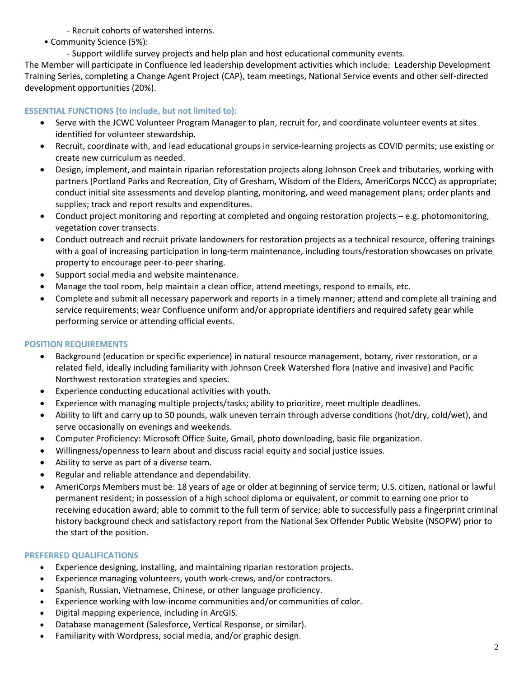- Recruit cohorts of watershed interns.

• Community Science (5%):

- Support wildlife survey projects and help plan and host educational community events.

The Member will participate in Confluence led leadership development activities which include: Leadership Development Training Series, completing a Change Agent Project (CAP), team meetings, National Service events and other self-directed development opportunities (20%).

## **ESSENTIAL FUNCTIONS (to include, but not limited to):**

- Serve with the JCWC Volunteer Program Manager to plan, recruit for, and coordinate volunteer events at sites identified for volunteer stewardship.
- Recruit, coordinate with, and lead educational groups in service-learning projects as COVID permits; use existing or create new curriculum as needed.
- Design, implement, and maintain riparian reforestation projects along Johnson Creek and tributaries, working with partners (Portland Parks and Recreation, City of Gresham, Wisdom of the Elders, AmeriCorps NCCC) as appropriate; conduct initial site assessments and develop planting, monitoring, and weed management plans; order plants and supplies; track and report results and expenditures.
- Conduct project monitoring and reporting at completed and ongoing restoration projects e.g. photomonitoring, vegetation cover transects.
- Conduct outreach and recruit private landowners for restoration projects as a technical resource, offering trainings with a goal of increasing participation in long-term maintenance, including tours/restoration showcases on private property to encourage peer-to-peer sharing.
- Support social media and website maintenance.
- Manage the tool room, help maintain a clean office, attend meetings, respond to emails, etc.
- Complete and submit all necessary paperwork and reports in a timely manner; attend and complete all training and service requirements; wear Confluence uniform and/or appropriate identifiers and required safety gear while performing service or attending official events.

# **POSITION REQUIREMENTS**

- Background (education or specific experience) in natural resource management, botany, river restoration, or a related field, ideally including familiarity with Johnson Creek Watershed flora (native and invasive) and Pacific Northwest restoration strategies and species.
- Experience conducting educational activities with youth.
- Experience with managing multiple projects/tasks; ability to prioritize, meet multiple deadlines.
- Ability to lift and carry up to 50 pounds, walk uneven terrain through adverse conditions (hot/dry, cold/wet), and serve occasionally on evenings and weekends.
- Computer Proficiency: Microsoft Office Suite, Gmail, photo downloading, basic file organization.
- Willingness/openness to learn about and discuss racial equity and social justice issues.
- Ability to serve as part of a diverse team.
- Regular and reliable attendance and dependability.
- AmeriCorps Members must be: 18 years of age or older at beginning of service term; U.S. citizen, national or lawful permanent resident; in possession of a high school diploma or equivalent, or commit to earning one prior to receiving education award; able to commit to the full term of service; able to successfully pass a fingerprint criminal history background check and satisfactory report from the National Sex Offender Public Website (NSOPW) prior to the start of the position.

## **PREFERRED QUALIFICATIONS**

- Experience designing, installing, and maintaining riparian restoration projects.
- Experience managing volunteers, youth work-crews, and/or contractors.
- Spanish, Russian, Vietnamese, Chinese, or other language proficiency.
- Experience working with low-income communities and/or communities of color.
- Digital mapping experience, including in ArcGIS.
- Database management (Salesforce, Vertical Response, or similar).
- Familiarity with Wordpress, social media, and/or graphic design.